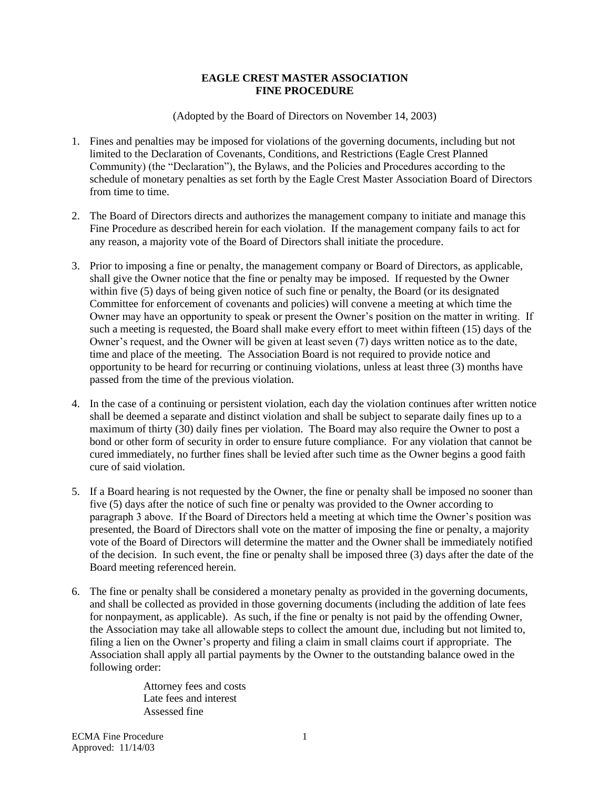## **EAGLE CREST MASTER ASSOCIATION FINE PROCEDURE**

(Adopted by the Board of Directors on November 14, 2003)

- 1. Fines and penalties may be imposed for violations of the governing documents, including but not limited to the Declaration of Covenants, Conditions, and Restrictions (Eagle Crest Planned Community) (the "Declaration"), the Bylaws, and the Policies and Procedures according to the schedule of monetary penalties as set forth by the Eagle Crest Master Association Board of Directors from time to time.
- 2. The Board of Directors directs and authorizes the management company to initiate and manage this Fine Procedure as described herein for each violation. If the management company fails to act for any reason, a majority vote of the Board of Directors shall initiate the procedure.
- 3. Prior to imposing a fine or penalty, the management company or Board of Directors, as applicable, shall give the Owner notice that the fine or penalty may be imposed. If requested by the Owner within five (5) days of being given notice of such fine or penalty, the Board (or its designated Committee for enforcement of covenants and policies) will convene a meeting at which time the Owner may have an opportunity to speak or present the Owner's position on the matter in writing. If such a meeting is requested, the Board shall make every effort to meet within fifteen (15) days of the Owner's request, and the Owner will be given at least seven (7) days written notice as to the date, time and place of the meeting. The Association Board is not required to provide notice and opportunity to be heard for recurring or continuing violations, unless at least three (3) months have passed from the time of the previous violation.
- 4. In the case of a continuing or persistent violation, each day the violation continues after written notice shall be deemed a separate and distinct violation and shall be subject to separate daily fines up to a maximum of thirty (30) daily fines per violation. The Board may also require the Owner to post a bond or other form of security in order to ensure future compliance. For any violation that cannot be cured immediately, no further fines shall be levied after such time as the Owner begins a good faith cure of said violation.
- 5. If a Board hearing is not requested by the Owner, the fine or penalty shall be imposed no sooner than five (5) days after the notice of such fine or penalty was provided to the Owner according to paragraph 3 above. If the Board of Directors held a meeting at which time the Owner's position was presented, the Board of Directors shall vote on the matter of imposing the fine or penalty, a majority vote of the Board of Directors will determine the matter and the Owner shall be immediately notified of the decision. In such event, the fine or penalty shall be imposed three (3) days after the date of the Board meeting referenced herein.
- 6. The fine or penalty shall be considered a monetary penalty as provided in the governing documents, and shall be collected as provided in those governing documents (including the addition of late fees for nonpayment, as applicable). As such, if the fine or penalty is not paid by the offending Owner, the Association may take all allowable steps to collect the amount due, including but not limited to, filing a lien on the Owner's property and filing a claim in small claims court if appropriate. The Association shall apply all partial payments by the Owner to the outstanding balance owed in the following order:

Attorney fees and costs Late fees and interest Assessed fine

ECMA Fine Procedure Approved: 11/14/03